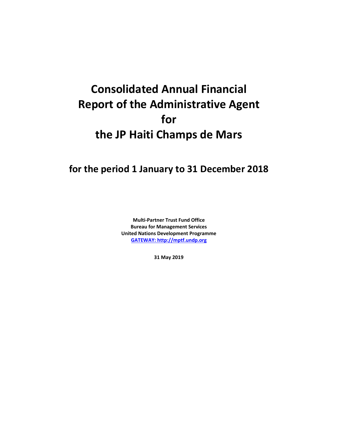# **Consolidated Annual Financial Report of the Administrative Agent for the JP Haiti Champs de Mars**

## **for the period 1 January to 31 December 2018**

**Multi-Partner Trust Fund Office Bureau for Management Services United Nations Development Programme [GATEWAY: http://mptf.undp.org](http://mptf.undp.org/)**

**31 May 2019**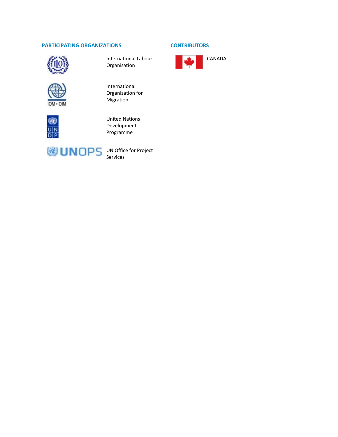#### **PARTICIPATING ORGANIZATIONS CONTRIBUTORS**



International Labour Organisation



#### International Organization for Migration



United Nations Development Programme



UN Office for Project Services



CANADA